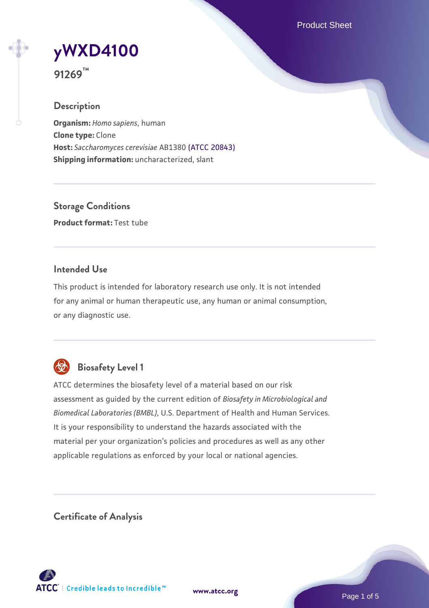Product Sheet

# **[yWXD4100](https://www.atcc.org/products/91269)**

**91269™**

# **Description**

**Organism:** *Homo sapiens*, human **Clone type:** Clone **Host:** *Saccharomyces cerevisiae* AB1380 [\(ATCC 20843\)](https://www.atcc.org/products/20843) **Shipping information:** uncharacterized, slant

**Storage Conditions Product format:** Test tube

# **Intended Use**

This product is intended for laboratory research use only. It is not intended for any animal or human therapeutic use, any human or animal consumption, or any diagnostic use.



# **Biosafety Level 1**

ATCC determines the biosafety level of a material based on our risk assessment as guided by the current edition of *Biosafety in Microbiological and Biomedical Laboratories (BMBL)*, U.S. Department of Health and Human Services. It is your responsibility to understand the hazards associated with the material per your organization's policies and procedures as well as any other applicable regulations as enforced by your local or national agencies.

**Certificate of Analysis**

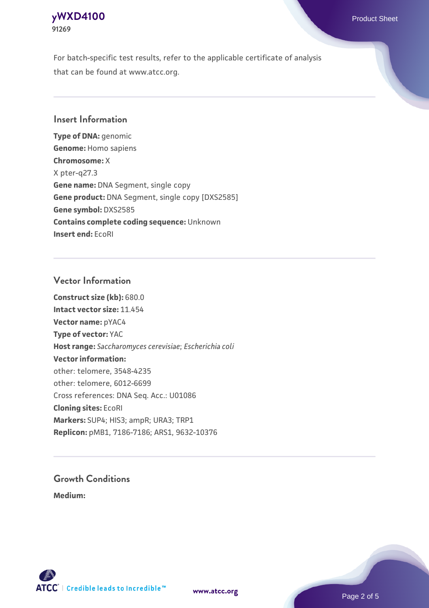# **[yWXD4100](https://www.atcc.org/products/91269)** Product Sheet **91269**

For batch-specific test results, refer to the applicable certificate of analysis that can be found at www.atcc.org.

# **Insert Information**

**Type of DNA:** genomic **Genome:** Homo sapiens **Chromosome:** X X pter-q27.3 **Gene name:** DNA Segment, single copy **Gene product:** DNA Segment, single copy [DXS2585] **Gene symbol:** DXS2585 **Contains complete coding sequence:** Unknown **Insert end:** EcoRI

# **Vector Information**

**Construct size (kb):** 680.0 **Intact vector size:** 11.454 **Vector name:** pYAC4 **Type of vector:** YAC **Host range:** *Saccharomyces cerevisiae*; *Escherichia coli* **Vector information:** other: telomere, 3548-4235 other: telomere, 6012-6699 Cross references: DNA Seq. Acc.: U01086 **Cloning sites:** EcoRI **Markers:** SUP4; HIS3; ampR; URA3; TRP1 **Replicon:** pMB1, 7186-7186; ARS1, 9632-10376

# **Growth Conditions**

**Medium:** 



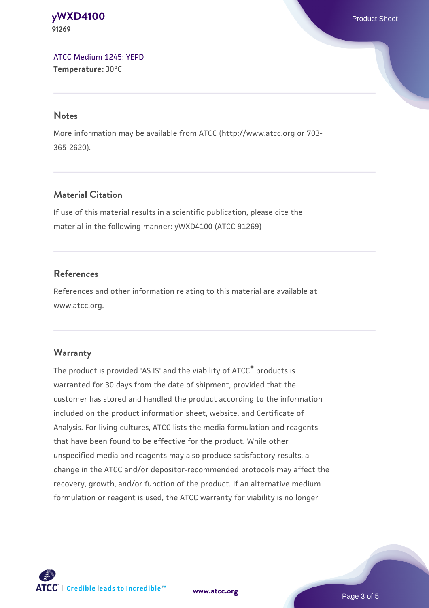#### **[yWXD4100](https://www.atcc.org/products/91269)** Product Sheet **91269**

[ATCC Medium 1245: YEPD](https://www.atcc.org/-/media/product-assets/documents/microbial-media-formulations/1/2/4/5/atcc-medium-1245.pdf?rev=705ca55d1b6f490a808a965d5c072196) **Temperature:** 30°C

#### **Notes**

More information may be available from ATCC (http://www.atcc.org or 703- 365-2620).

# **Material Citation**

If use of this material results in a scientific publication, please cite the material in the following manner: yWXD4100 (ATCC 91269)

# **References**

References and other information relating to this material are available at www.atcc.org.

# **Warranty**

The product is provided 'AS IS' and the viability of ATCC® products is warranted for 30 days from the date of shipment, provided that the customer has stored and handled the product according to the information included on the product information sheet, website, and Certificate of Analysis. For living cultures, ATCC lists the media formulation and reagents that have been found to be effective for the product. While other unspecified media and reagents may also produce satisfactory results, a change in the ATCC and/or depositor-recommended protocols may affect the recovery, growth, and/or function of the product. If an alternative medium formulation or reagent is used, the ATCC warranty for viability is no longer



**[www.atcc.org](http://www.atcc.org)**

Page 3 of 5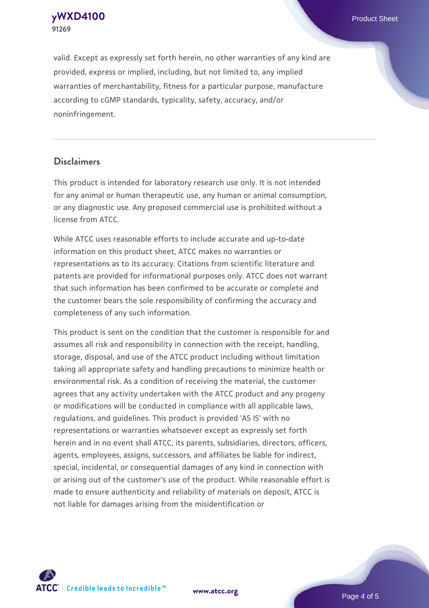**[yWXD4100](https://www.atcc.org/products/91269)** Product Sheet **91269**

valid. Except as expressly set forth herein, no other warranties of any kind are provided, express or implied, including, but not limited to, any implied warranties of merchantability, fitness for a particular purpose, manufacture according to cGMP standards, typicality, safety, accuracy, and/or noninfringement.

#### **Disclaimers**

This product is intended for laboratory research use only. It is not intended for any animal or human therapeutic use, any human or animal consumption, or any diagnostic use. Any proposed commercial use is prohibited without a license from ATCC.

While ATCC uses reasonable efforts to include accurate and up-to-date information on this product sheet, ATCC makes no warranties or representations as to its accuracy. Citations from scientific literature and patents are provided for informational purposes only. ATCC does not warrant that such information has been confirmed to be accurate or complete and the customer bears the sole responsibility of confirming the accuracy and completeness of any such information.

This product is sent on the condition that the customer is responsible for and assumes all risk and responsibility in connection with the receipt, handling, storage, disposal, and use of the ATCC product including without limitation taking all appropriate safety and handling precautions to minimize health or environmental risk. As a condition of receiving the material, the customer agrees that any activity undertaken with the ATCC product and any progeny or modifications will be conducted in compliance with all applicable laws, regulations, and guidelines. This product is provided 'AS IS' with no representations or warranties whatsoever except as expressly set forth herein and in no event shall ATCC, its parents, subsidiaries, directors, officers, agents, employees, assigns, successors, and affiliates be liable for indirect, special, incidental, or consequential damages of any kind in connection with or arising out of the customer's use of the product. While reasonable effort is made to ensure authenticity and reliability of materials on deposit, ATCC is not liable for damages arising from the misidentification or



**[www.atcc.org](http://www.atcc.org)**

Page 4 of 5